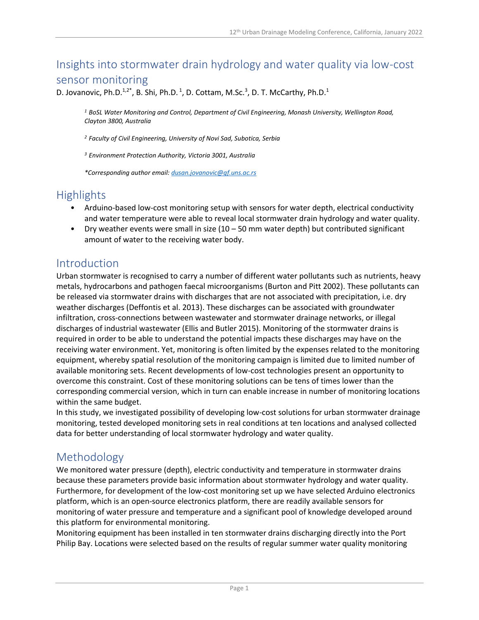# Insights into stormwater drain hydrology and water quality via low-cost sensor monitoring

D. Jovanovic, Ph.D.<sup>1,2\*</sup>, B. Shi, Ph.D.<sup>1</sup>, D. Cottam, M.Sc.<sup>3</sup>, D. T. McCarthy, Ph.D.<sup>1</sup>

*<sup>1</sup> BoSL Water Monitoring and Control, Department of Civil Engineering, Monash University, Wellington Road, Clayton 3800, Australia*

*<sup>2</sup> Faculty of Civil Engineering, University of Novi Sad, Subotica, Serbia*

*<sup>3</sup> Environment Protection Authority, Victoria 3001, Australia*

*\*Corresponding author email: [dusan.jovanovic@gf.uns.ac.rs](mailto:dusan.jovanovic@gf.uns.ac.rs)*

#### **Highlights**

- Arduino-based low-cost monitoring setup with sensors for water depth, electrical conductivity and water temperature were able to reveal local stormwater drain hydrology and water quality.
- Dry weather events were small in size  $(10 50$  mm water depth) but contributed significant amount of water to the receiving water body.

#### Introduction

Urban stormwater is recognised to carry a number of different water pollutants such as nutrients, heavy metals, hydrocarbons and pathogen faecal microorganisms (Burton and Pitt 2002). These pollutants can be released via stormwater drains with discharges that are not associated with precipitation, i.e. dry weather discharges (Deffontis et al. 2013). These discharges can be associated with groundwater infiltration, cross-connections between wastewater and stormwater drainage networks, or illegal discharges of industrial wastewater (Ellis and Butler 2015). Monitoring of the stormwater drains is required in order to be able to understand the potential impacts these discharges may have on the receiving water environment. Yet, monitoring is often limited by the expenses related to the monitoring equipment, whereby spatial resolution of the monitoring campaign is limited due to limited number of available monitoring sets. Recent developments of low-cost technologies present an opportunity to overcome this constraint. Cost of these monitoring solutions can be tens of times lower than the corresponding commercial version, which in turn can enable increase in number of monitoring locations within the same budget.

In this study, we investigated possibility of developing low-cost solutions for urban stormwater drainage monitoring, tested developed monitoring sets in real conditions at ten locations and analysed collected data for better understanding of local stormwater hydrology and water quality.

## Methodology

We monitored water pressure (depth), electric conductivity and temperature in stormwater drains because these parameters provide basic information about stormwater hydrology and water quality. Furthermore, for development of the low-cost monitoring set up we have selected Arduino electronics platform, which is an open-source electronics platform, there are readily available sensors for monitoring of water pressure and temperature and a significant pool of knowledge developed around this platform for environmental monitoring.

Monitoring equipment has been installed in ten stormwater drains discharging directly into the Port Philip Bay. Locations were selected based on the results of regular summer water quality monitoring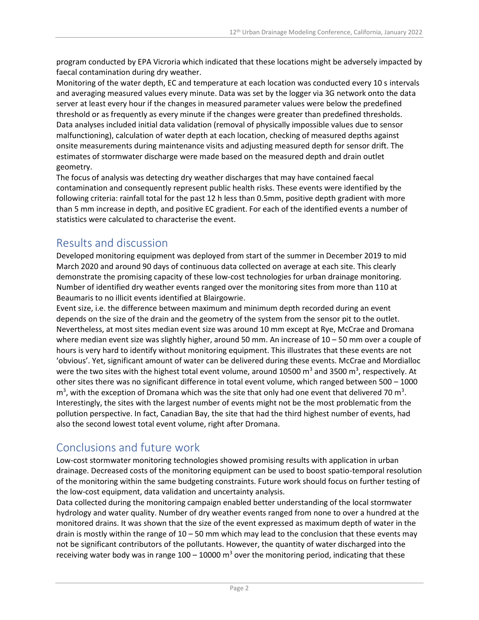program conducted by EPA Vicroria which indicated that these locations might be adversely impacted by faecal contamination during dry weather.

Monitoring of the water depth, EC and temperature at each location was conducted every 10 s intervals and averaging measured values every minute. Data was set by the logger via 3G network onto the data server at least every hour if the changes in measured parameter values were below the predefined threshold or as frequently as every minute if the changes were greater than predefined thresholds. Data analyses included initial data validation (removal of physically impossible values due to sensor malfunctioning), calculation of water depth at each location, checking of measured depths against onsite measurements during maintenance visits and adjusting measured depth for sensor drift. The estimates of stormwater discharge were made based on the measured depth and drain outlet geometry.

The focus of analysis was detecting dry weather discharges that may have contained faecal contamination and consequently represent public health risks. These events were identified by the following criteria: rainfall total for the past 12 h less than 0.5mm, positive depth gradient with more than 5 mm increase in depth, and positive EC gradient. For each of the identified events a number of statistics were calculated to characterise the event.

## Results and discussion

Developed monitoring equipment was deployed from start of the summer in December 2019 to mid March 2020 and around 90 days of continuous data collected on average at each site. This clearly demonstrate the promising capacity of these low-cost technologies for urban drainage monitoring. Number of identified dry weather events ranged over the monitoring sites from more than 110 at Beaumaris to no illicit events identified at Blairgowrie.

Event size, i.e. the difference between maximum and minimum depth recorded during an event depends on the size of the drain and the geometry of the system from the sensor pit to the outlet. Nevertheless, at most sites median event size was around 10 mm except at Rye, McCrae and Dromana where median event size was slightly higher, around 50 mm. An increase of 10 – 50 mm over a couple of hours is very hard to identify without monitoring equipment. This illustrates that these events are not 'obvious'. Yet, significant amount of water can be delivered during these events. McCrae and Mordialloc were the two sites with the highest total event volume, around 10500 m<sup>3</sup> and 3500 m<sup>3</sup>, respectively. At other sites there was no significant difference in total event volume, which ranged between 500 – 1000  $\text{m}^3$ , with the exception of Dromana which was the site that only had one event that delivered 70 m<sup>3</sup>. Interestingly, the sites with the largest number of events might not be the most problematic from the pollution perspective. In fact, Canadian Bay, the site that had the third highest number of events, had also the second lowest total event volume, right after Dromana.

# Conclusions and future work

Low-cost stormwater monitoring technologies showed promising results with application in urban drainage. Decreased costs of the monitoring equipment can be used to boost spatio-temporal resolution of the monitoring within the same budgeting constraints. Future work should focus on further testing of the low-cost equipment, data validation and uncertainty analysis.

Data collected during the monitoring campaign enabled better understanding of the local stormwater hydrology and water quality. Number of dry weather events ranged from none to over a hundred at the monitored drains. It was shown that the size of the event expressed as maximum depth of water in the drain is mostly within the range of  $10 - 50$  mm which may lead to the conclusion that these events may not be significant contributors of the pollutants. However, the quantity of water discharged into the receiving water body was in range  $100 - 10000$  m<sup>3</sup> over the monitoring period, indicating that these